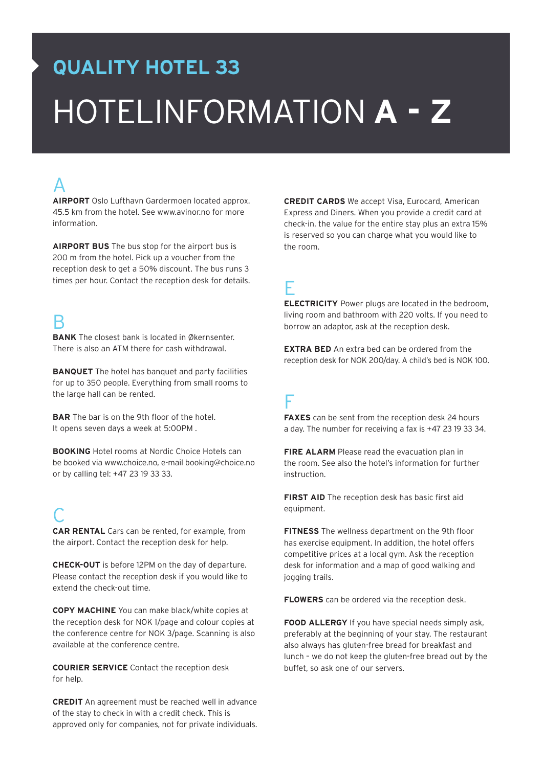# **QUALITY HOTEL 33** HotelinformaTION **A - Z**

## A

**AIRPORT** Oslo Lufthavn Gardermoen located approx. 45.5 km from the hotel. See www.avinor.no for more information.

**AIRPORT BUS** The bus stop for the airport bus is 200 m from the hotel. Pick up a voucher from the reception desk to get a 50% discount. The bus runs 3 times per hour. Contact the reception desk for details.

#### B

**BANK** The closest bank is located in Økernsenter. There is also an ATM there for cash withdrawal.

**BANQUET** The hotel has banquet and party facilities for up to 350 people. Everything from small rooms to the large hall can be rented.

**BAR** The bar is on the 9th floor of the hotel. It opens seven days a week at 5:00PM .

**BOOKING** Hotel rooms at Nordic Choice Hotels can be booked via www.choice.no, e-mail booking@choice.no or by calling tel: +47 23 19 33 33.

## C

**CAR RENTAL** Cars can be rented, for example, from the airport. Contact the reception desk for help.

**CHECK-OUT** is before 12PM on the day of departure. Please contact the reception desk if you would like to extend the check-out time.

**COPY MACHINE** You can make black/white copies at the reception desk for NOK 1/page and colour copies at the conference centre for NOK 3/page. Scanning is also available at the conference centre.

**COURIER SERVICE** Contact the reception desk for help.

**CREDIT** An agreement must be reached well in advance of the stay to check in with a credit check. This is approved only for companies, not for private individuals. **CREDIT CARDS** We accept Visa, Eurocard, American Express and Diners. When you provide a credit card at check-in, the value for the entire stay plus an extra 15% is reserved so you can charge what you would like to the room.

#### E

**ELECTRICITY** Power plugs are located in the bedroom, living room and bathroom with 220 volts. If you need to borrow an adaptor, ask at the reception desk.

**EXTRA BED** An extra bed can be ordered from the reception desk for NOK 200/day. A child's bed is NOK 100.

#### F

**FAXES** can be sent from the reception desk 24 hours a day. The number for receiving a fax is +47 23 19 33 34.

**FIRE ALARM** Please read the evacuation plan in the room. See also the hotel's information for further instruction.

**FIRST AID** The reception desk has basic first aid equipment.

**Fitness** The wellness department on the 9th floor has exercise equipment. In addition, the hotel offers competitive prices at a local gym. Ask the reception desk for information and a map of good walking and jogging trails.

**FLOWERS** can be ordered via the reception desk.

**FOOD ALLERGY** If you have special needs simply ask, preferably at the beginning of your stay. The restaurant also always has gluten-free bread for breakfast and lunch – we do not keep the gluten-free bread out by the buffet, so ask one of our servers.